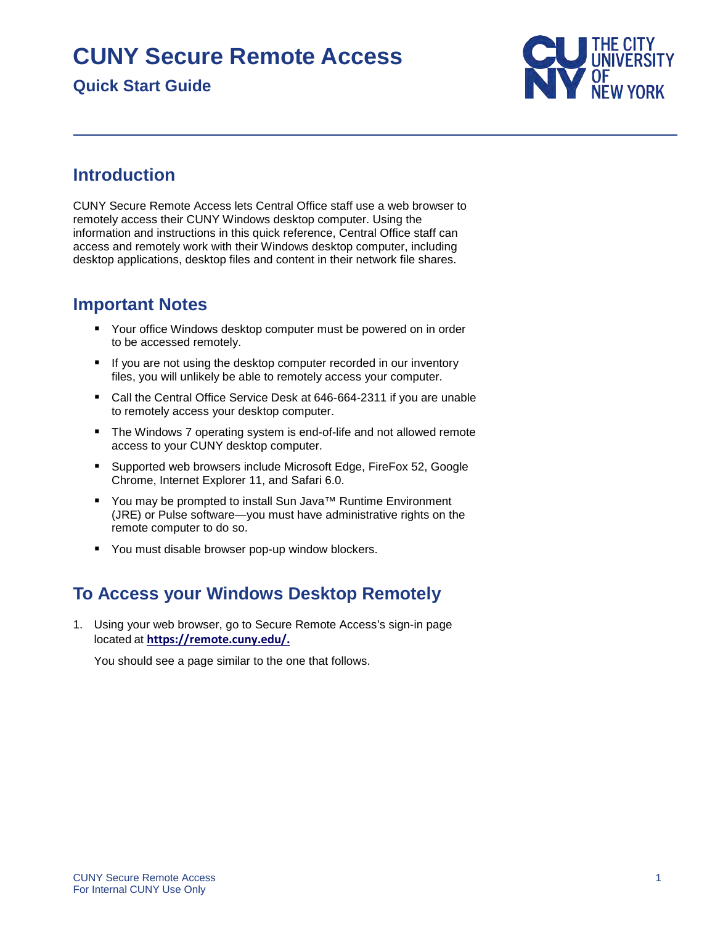# **CUNY Secure Remote Access**

### **Quick Start Guide**



### **Introduction**

CUNY Secure Remote Access lets Central Office staff use a web browser to remotely access their CUNY Windows desktop computer. Using the information and instructions in this quick reference, Central Office staff can access and remotely work with their Windows desktop computer, including desktop applications, desktop files and content in their network file shares.

### **Important Notes**

- **•** Your office Windows desktop computer must be powered on in order to be accessed remotely.
- If you are not using the desktop computer recorded in our inventory files, you will unlikely be able to remotely access your computer.
- Call the Central Office Service Desk at 646-664-2311 if you are unable to remotely access your desktop computer.
- The Windows 7 operating system is end-of-life and not allowed remote access to your CUNY desktop computer.
- Supported web browsers include Microsoft Edge, FireFox 52, Google Chrome, Internet Explorer 11, and Safari 6.0.
- You may be prompted to install Sun Java<sup>™</sup> Runtime Environment (JRE) or Pulse software—you must have administrative rights on the remote computer to do so.
- **You must disable browser pop-up window blockers.**

## **To Access your Windows Desktop Remotely**

1. Using your web browser, go to Secure Remote Access's sign-in page located at **[https://remote.cuny.edu/.](https://remote.cuny.edu/)**

You should see a page similar to the one that follows.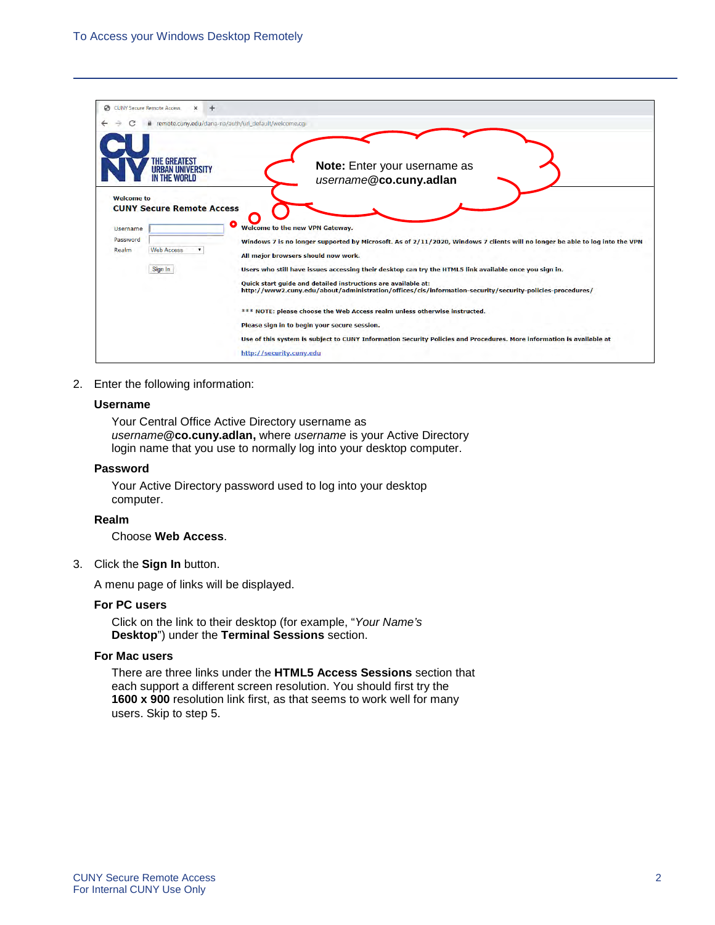| ణ                                    | <b>CUNY Secure Remote Access</b><br>$+$<br>$\times$           |                                                                                                                                                                                                                                                                                                                                                                                                                                                                                                    |
|--------------------------------------|---------------------------------------------------------------|----------------------------------------------------------------------------------------------------------------------------------------------------------------------------------------------------------------------------------------------------------------------------------------------------------------------------------------------------------------------------------------------------------------------------------------------------------------------------------------------------|
|                                      |                                                               | remote.cuny.edu/dana-na/auth/url_default/welcome.cgi                                                                                                                                                                                                                                                                                                                                                                                                                                               |
| <b>Welcome to</b>                    | THE GREATEST<br>rhe world<br><b>CUNY Secure Remote Access</b> | Note: Enter your username as<br>username@co.cuny.adlan                                                                                                                                                                                                                                                                                                                                                                                                                                             |
| <b>Username</b><br>Password<br>Realm | <b>Web Access</b><br>Sign In                                  | O<br>Welcome to the new VPN Gateway.<br>Windows 7 is no longer supported by Microsoft. As of 2/11/2020, Windows 7 clients will no longer be able to log into the VPN<br>All major browsers should now work.<br>Users who still have issues accessing their desktop can try the HTML5 link available once you sign in.<br>Quick start guide and detailed instructions are available at:<br>http://www2.cuny.edu/about/administration/offices/cis/information-security/security-policies-procedures/ |
|                                      |                                                               | *** NOTE: please choose the Web Access realm unless otherwise instructed.<br>Please sign in to begin your secure session.<br>Use of this system is subject to CUNY Information Security Policies and Procedures. More information is available at                                                                                                                                                                                                                                                  |
|                                      |                                                               | http://security.cuny.edu                                                                                                                                                                                                                                                                                                                                                                                                                                                                           |

2. Enter the following information:

#### **Username**

Your Central Office Active Directory username as *username***@co.cuny.adlan,** where *username* is your Active Directory login name that you use to normally log into your desktop computer.

#### **Password**

Your Active Directory password used to log into your desktop computer.

#### **Realm**

Choose **Web Access**.

3. Click the **Sign In** button.

A menu page of links will be displayed.

#### **For PC users**

Click on the link to their desktop (for example, "*Your Name's* **Desktop**") under the **Terminal Sessions** section.

#### **For Mac users**

There are three links under the **HTML5 Access Sessions** section that each support a different screen resolution. You should first try the **1600 x 900** resolution link first, as that seems to work well for many users. Skip to step 5.